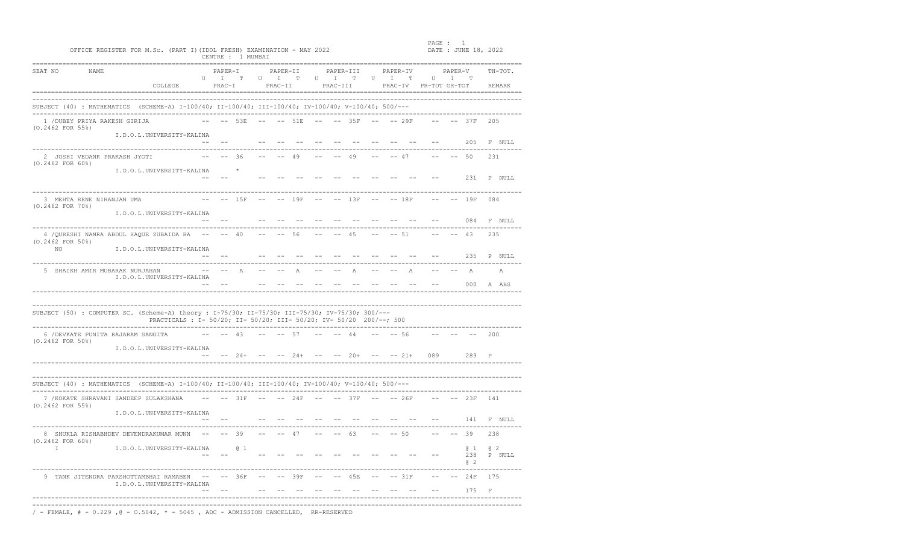|                              | OFFICE REGISTER FOR M.Sc. (PART I) (IDOL FRESH) EXAMINATION - MAY 2022                              |                                                                     |         |                                                                                            | CENTRE : 1 MUMBAI |               |                              |              |        |                                |       |                                              | PAGE :                         |                           | DATE : JUNE 18, 2022               |                      |
|------------------------------|-----------------------------------------------------------------------------------------------------|---------------------------------------------------------------------|---------|--------------------------------------------------------------------------------------------|-------------------|---------------|------------------------------|--------------|--------|--------------------------------|-------|----------------------------------------------|--------------------------------|---------------------------|------------------------------------|----------------------|
| SEAT NO                      | NAME.                                                                                               | COLLEGE                                                             |         | PAPER-T<br>$\begin{matrix} \texttt{U} & \texttt{I} & \texttt{T} \end{matrix}$<br>$PRACT-I$ |                   |               | PAPER-II<br>U I T<br>PRAC-II |              | $\cup$ | PAPER-III<br>I T U<br>PRAC-III |       | PAPER-TV<br>$\mathbb{I}$ T                   | U<br>PRAC-IV PR-TOT GR-TOT     | PAPER-V<br>$\mathbb{I}$ T |                                    | $TH - TOT$<br>REMARK |
|                              | SUBJECT (40) : MATHEMATICS (SCHEME-A) I-100/40; II-100/40; III-100/40; IV-100/40; V-100/40; 500/--- |                                                                     |         |                                                                                            |                   |               |                              |              |        |                                |       |                                              |                                |                           |                                    |                      |
| $(0.2462$ FOR 55%)           | 1 / DUBEY PRIYA RAKESH GIRIJA                                                                       |                                                                     |         |                                                                                            | 53E               |               |                              | 51 E         |        | 35F                            |       | $-- 29F$                                     |                                |                           | $--37F$                            | 205                  |
|                              |                                                                                                     | I.D.O.L.UNIVERSITY-KALINA                                           |         |                                                                                            |                   |               |                              |              |        |                                |       |                                              |                                |                           | 205                                | F NULL               |
| $(0.2462$ FOR $60\%)$        | 2 JOSHI VEDANK PRAKASH JYOTI                                                                        |                                                                     |         |                                                                                            | $-- 36$           |               |                              | 49           |        | 49                             |       | $-- 47$                                      |                                | $-- 50$                   |                                    | 231                  |
|                              |                                                                                                     | I.D.O.L.UNIVERSITY-KALINA                                           |         |                                                                                            |                   |               |                              |              |        |                                |       |                                              |                                |                           | 231                                | P NULL               |
| $(0.2462$ FOR $70\$ )        | 3 MEHTA RENE NIRANJAN UMA                                                                           |                                                                     |         |                                                                                            | $-- 15F$          | $\frac{1}{2}$ |                              | 19F          |        | $-- 13F$                       |       | $-- 18F$                                     |                                |                           | $-- 19F$                           | 084                  |
|                              |                                                                                                     | I.D.O.L.UNIVERSITY-KALINA                                           | $- -$   | $- -$                                                                                      |                   |               |                              |              |        |                                |       |                                              |                                |                           | 084                                | F NULL               |
| $(0.2462$ FOR $50\%)$<br>NO. | 4 / OURESHI NAMRA ABDUL HAQUE ZUBAIDA BA                                                            | I.D.O.L.UNIVERSITY-KALINA                                           | $- -$   |                                                                                            | 40                |               |                              | 56           |        | 45                             |       | $-- 51$                                      |                                |                           | 43                                 | 235                  |
|                              |                                                                                                     |                                                                     |         |                                                                                            |                   |               |                              |              |        |                                |       |                                              |                                |                           | 235                                | P NULL               |
|                              | 5 SHAIKH AMIR MUBARAK NURJAHAN                                                                      | I.D.O.L.UNIVERSITY-KALINA                                           |         |                                                                                            | $\mathbb{A}$      |               |                              | $\mathbb{A}$ |        | Α                              |       |                                              |                                |                           | $\Delta$<br>nnn.                   | A<br>A ABS           |
|                              | SUBJECT (50) : COMPUTER SC. (Scheme-A) theory : I-75/30; II-75/30; III-75/30; IV-75/30; 300/---     | PRACTICALS : I- 50/20; II- 50/20; III- 50/20; IV- 50/20 200/--; 500 |         |                                                                                            |                   |               |                              |              |        |                                |       |                                              |                                |                           |                                    |                      |
| (0.2462 FOR 50%)             | 6 / DEVKATE PUNITA RAJARAM SANGITA                                                                  |                                                                     |         |                                                                                            | 43                |               |                              | 57           |        | 44                             |       | $-- 56$                                      |                                |                           |                                    | 200                  |
|                              |                                                                                                     | I.D.O.L.UNIVERSITY-KALINA                                           | $ -$    |                                                                                            |                   |               |                              |              |        |                                |       | -- $24+$ -- -- $24+$ -- -- $20+$ -- -- $21+$ | 089                            |                           | 289                                | P                    |
|                              | SUBJECT (40) : MATHEMATICS (SCHEME-A) I-100/40; II-100/40; III-100/40; IV-100/40; V-100/40; 500/--- |                                                                     |         |                                                                                            |                   |               |                              |              |        |                                |       |                                              | ______________________________ |                           |                                    |                      |
| $(0.2462$ FOR 55%)           | 7 / KOKATE SHRAVANI SANDEEP SULAKSHANA                                                              |                                                                     | $- -$   |                                                                                            | $-- 31F$ $--$     |               |                              | 24F          | $- -$  | 37F                            | $- -$ | $-- 26F$                                     |                                |                           | 23F                                | 141                  |
|                              |                                                                                                     | I.D.O.L.UNIVERSITY-KALINA                                           |         |                                                                                            |                   |               |                              |              |        |                                |       |                                              |                                |                           | 141                                | F NULL               |
| $(0.2462$ FOR $60\%)$        | 8 SHUKLA RISHABHDEV DEVENDRAKUMAR MUNN                                                              |                                                                     |         |                                                                                            | $-- 39$           |               |                              | 47           |        | 63                             |       | $-- 50$                                      |                                |                           | 39                                 | 238                  |
| $\mathbb{I}$                 |                                                                                                     | I.D.O.L.UNIVERSITY-KALINA                                           |         |                                                                                            | $0\quad1$         |               |                              |              |        |                                |       |                                              |                                |                           | $0\quad1$<br>238<br>a <sub>2</sub> | @2<br>P NULL         |
|                              | 9 TANK JITENDRA PARSHOTTAMBHAI RAMABEN                                                              | I.D.O.L.UNIVERSITY-KALINA                                           | $- - -$ |                                                                                            | $-- 36F$          | $ -$          |                              | 39F          |        | 45E                            |       | $--31F$                                      |                                |                           | 24F                                | 175                  |
|                              |                                                                                                     |                                                                     |         |                                                                                            |                   |               |                              |              |        |                                |       |                                              |                                |                           | 175                                | $\mathbb{F}$         |

/ - FEMALE,  $# - 0.229$ ,  $@ - 0.5042$ ,  $* - 5045$ , ADC - ADMISSION CANCELLED, RR-RESERVED